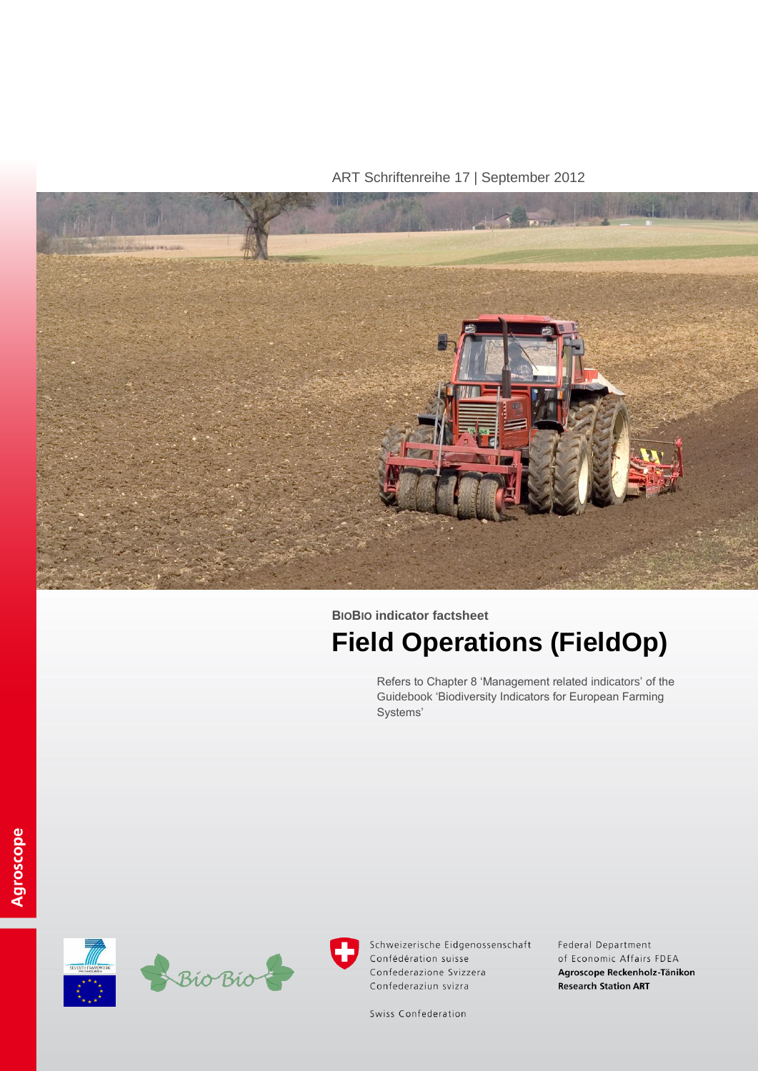ART Schriftenreihe 17 | September 2012



# **BIOBIO indicator factsheet Field Operations (FieldOp)**

Refers to Chapter 8 'Management related indicators' of the Guidebook 'Biodiversity Indicators for European Farming Systems'





Schweizerische Eidgenossenschaft Confédération suisse Confederazione Svizzera Confederaziun svizra

Federal Department of Economic Affairs FDEA Agroscope Reckenholz-Tänikon **Research Station ART** 

Swiss Confederation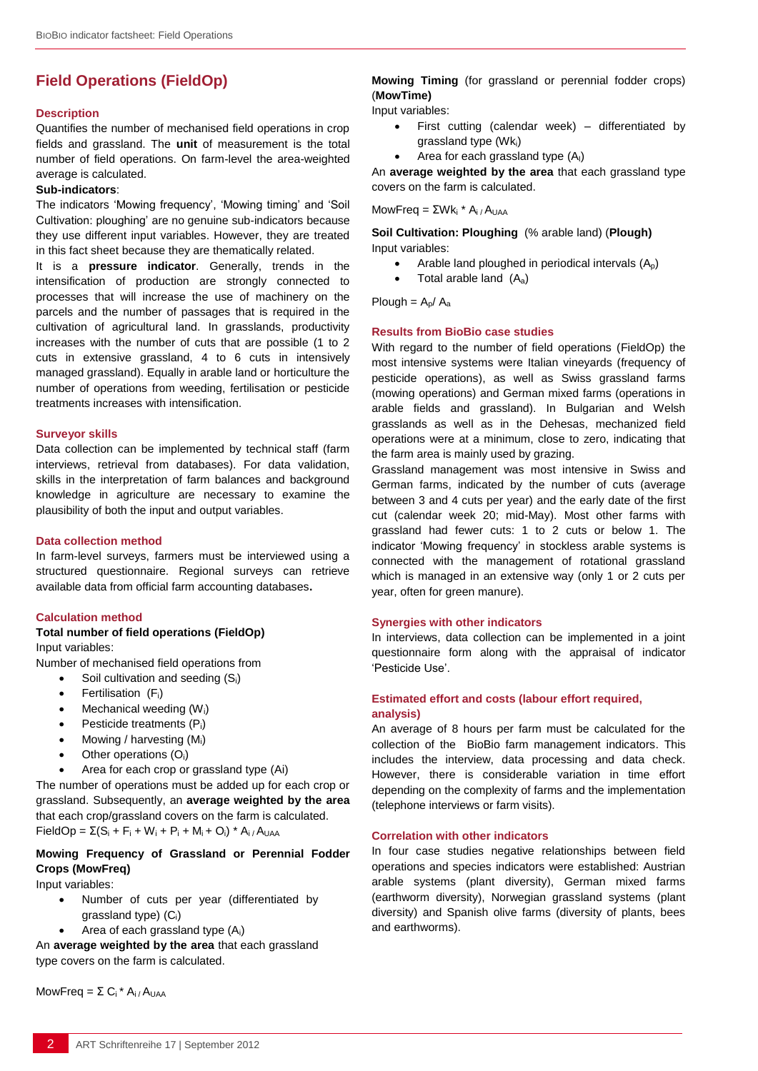# **Field Operations (FieldOp)**

#### **Description**

Quantifies the number of mechanised field operations in crop fields and grassland. The **unit** of measurement is the total number of field operations. On farm-level the area-weighted average is calculated.

### **Sub-indicators**:

The indicators 'Mowing frequency', 'Mowing timing' and 'Soil Cultivation: ploughing' are no genuine sub-indicators because they use different input variables. However, they are treated in this fact sheet because they are thematically related.

It is a **pressure indicator**. Generally, trends in the intensification of production are strongly connected to processes that will increase the use of machinery on the parcels and the number of passages that is required in the cultivation of agricultural land. In grasslands, productivity increases with the number of cuts that are possible (1 to 2 cuts in extensive grassland, 4 to 6 cuts in intensively managed grassland). Equally in arable land or horticulture the number of operations from weeding, fertilisation or pesticide treatments increases with intensification.

#### **Surveyor skills**

Data collection can be implemented by technical staff (farm interviews, retrieval from databases). For data validation, skills in the interpretation of farm balances and background knowledge in agriculture are necessary to examine the plausibility of both the input and output variables.

#### **Data collection method**

In farm-level surveys, farmers must be interviewed using a structured questionnaire. Regional surveys can retrieve available data from official farm accounting databases**.**

#### **Calculation method**

#### **Total number of field operations (FieldOp)** Input variables:

Number of mechanised field operations from

- Soil cultivation and seeding (Si)
- Fertilisation (Fi)
- $\bullet$  Mechanical weeding (W<sub>i</sub>)
- Pesticide treatments (Pi)
- Mowing / harvesting (Mi)
- Other operations (Oi)
- Area for each crop or grassland type (Ai)

The number of operations must be added up for each crop or grassland. Subsequently, an **average weighted by the area** that each crop/grassland covers on the farm is calculated. FieldOp =  $\Sigma(S_i + F_i + W_i + P_i + M_i + O_i) * A_i / A_{UAA}$ 

# **Mowing Frequency of Grassland or Perennial Fodder Crops (MowFreq)**

Input variables:

- Number of cuts per year (differentiated by grassland type) (Ci)
- Area of each grassland type  $(A<sub>i</sub>)$

An **average weighted by the area** that each grassland type covers on the farm is calculated.

MowFreq =  $\Sigma$  C<sub>i</sub> \* A<sub>i</sub> / A<sub>UAA</sub>

# **Mowing Timing** (for grassland or perennial fodder crops) (**MowTime)**

Input variables:

- First cutting (calendar week) differentiated by grassland type (Wki)
- Area for each grassland type  $(A<sub>1</sub>)$

An **average weighted by the area** that each grassland type covers on the farm is calculated.

#### MowFreq = ΣWk<sup>i</sup> \* A<sup>i</sup> / AUAA

**Soil Cultivation: Ploughing** (% arable land) (**Plough)** Input variables:

- Arable land ploughed in periodical intervals (Ap)
- Total arable land (Aa)

Plough =  $A_n/A_n$ 

#### **Results from BioBio case studies**

With regard to the number of field operations (FieldOp) the most intensive systems were Italian vineyards (frequency of pesticide operations), as well as Swiss grassland farms (mowing operations) and German mixed farms (operations in arable fields and grassland). In Bulgarian and Welsh grasslands as well as in the Dehesas, mechanized field operations were at a minimum, close to zero, indicating that the farm area is mainly used by grazing.

Grassland management was most intensive in Swiss and German farms, indicated by the number of cuts (average between 3 and 4 cuts per year) and the early date of the first cut (calendar week 20; mid-May). Most other farms with grassland had fewer cuts: 1 to 2 cuts or below 1. The indicator 'Mowing frequency' in stockless arable systems is connected with the management of rotational grassland which is managed in an extensive way (only 1 or 2 cuts per year, often for green manure).

#### **Synergies with other indicators**

In interviews, data collection can be implemented in a joint questionnaire form along with the appraisal of indicator 'Pesticide Use'.

#### **Estimated effort and costs (labour effort required, analysis)**

An average of 8 hours per farm must be calculated for the collection of the BioBio farm management indicators. This includes the interview, data processing and data check. However, there is considerable variation in time effort depending on the complexity of farms and the implementation (telephone interviews or farm visits).

#### **Correlation with other indicators**

In four case studies negative relationships between field operations and species indicators were established: Austrian arable systems (plant diversity), German mixed farms (earthworm diversity), Norwegian grassland systems (plant diversity) and Spanish olive farms (diversity of plants, bees and earthworms).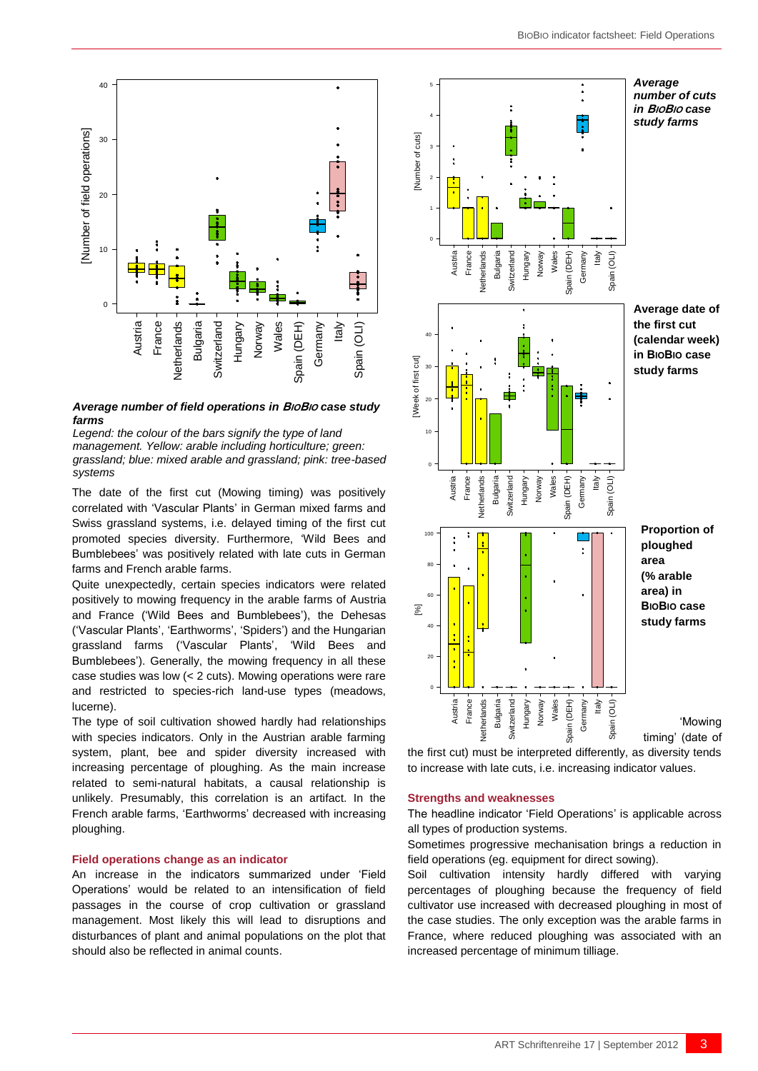

#### *Average number of field operations in* **BIOBIO** *case study farms*

*Legend: the colour of the bars signify the type of land management. Yellow: arable including horticulture; green: grassland; blue: mixed arable and grassland; pink: tree-based systems*

The date of the first cut (Mowing timing) was positively correlated with 'Vascular Plants' in German mixed farms and Swiss grassland systems, i.e. delayed timing of the first cut promoted species diversity. Furthermore, 'Wild Bees and Bumblebees' was positively related with late cuts in German farms and French arable farms.

Quite unexpectedly, certain species indicators were related positively to mowing frequency in the arable farms of Austria and France ('Wild Bees and Bumblebees'), the Dehesas ('Vascular Plants', 'Earthworms', 'Spiders') and the Hungarian grassland farms ('Vascular Plants', 'Wild Bees and Bumblebees'). Generally, the mowing frequency in all these case studies was low (< 2 cuts). Mowing operations were rare and restricted to species-rich land-use types (meadows, lucerne).

The type of soil cultivation showed hardly had relationships with species indicators. Only in the Austrian arable farming system, plant, bee and spider diversity increased with increasing percentage of ploughing. As the main increase related to semi-natural habitats, a causal relationship is unlikely. Presumably, this correlation is an artifact. In the French arable farms, 'Earthworms' decreased with increasing ploughing.

#### **Field operations change as an indicator**

An increase in the indicators summarized under 'Field Operations' would be related to an intensification of field passages in the course of crop cultivation or grassland management. Most likely this will lead to disruptions and disturbances of plant and animal populations on the plot that should also be reflected in animal counts.



the first cut) must be interpreted differently, as diversity tends to increase with late cuts, i.e. increasing indicator values.

#### **Strengths and weaknesses**

The headline indicator 'Field Operations' is applicable across all types of production systems.

Sometimes progressive mechanisation brings a reduction in field operations (eg. equipment for direct sowing).

Soil cultivation intensity hardly differed with varying percentages of ploughing because the frequency of field cultivator use increased with decreased ploughing in most of the case studies. The only exception was the arable farms in France, where reduced ploughing was associated with an increased percentage of minimum tilliage.